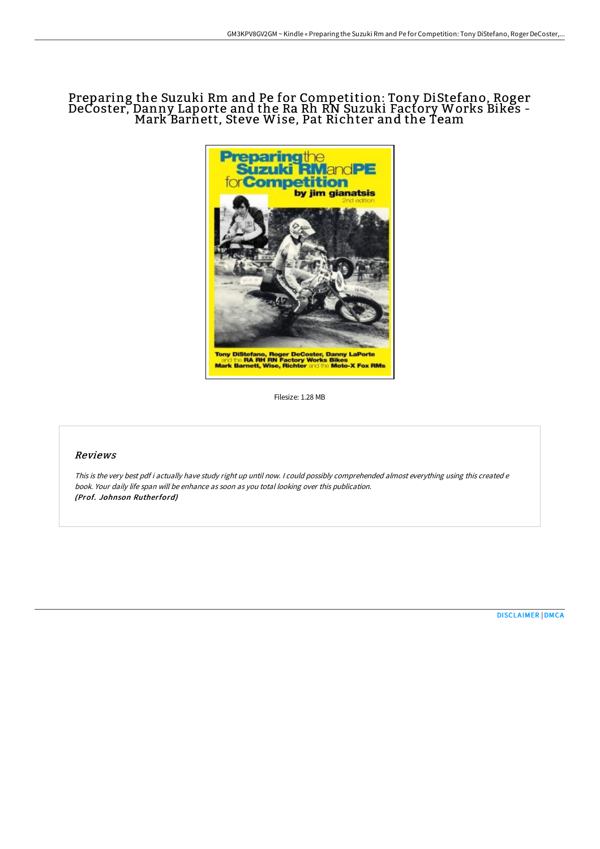## Preparing the Suzuki Rm and Pe for Competition: Tony DiStefano, Roger DeCoster, Danny Laporte and the Ra Rh RN Suzuki Factory Works Bikes - Mark Barnett, Steve Wise, Pat Richter and the Team



Filesize: 1.28 MB

## Reviews

This is the very best pdf i actually have study right up until now. <sup>I</sup> could possibly comprehended almost everything using this created <sup>e</sup> book. Your daily life span will be enhance as soon as you total looking over this publication. (Prof. Johnson Rutherford)

[DISCLAIMER](http://digilib.live/disclaimer.html) | [DMCA](http://digilib.live/dmca.html)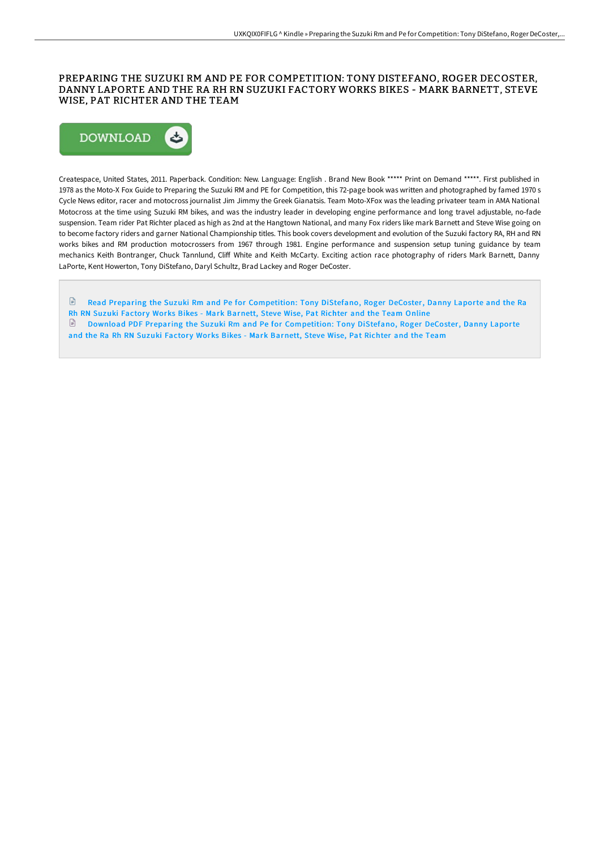## PREPARING THE SUZUKI RM AND PE FOR COMPETITION: TONY DISTEFANO, ROGER DECOSTER, DANNY LAPORTE AND THE RA RH RN SUZUKI FACTORY WORKS BIKES - MARK BARNETT, STEVE WISE, PAT RICHTER AND THE TEAM



Createspace, United States, 2011. Paperback. Condition: New. Language: English . Brand New Book \*\*\*\*\* Print on Demand \*\*\*\*\*. First published in 1978 as the Moto-X Fox Guide to Preparing the Suzuki RM and PE for Competition, this 72-page book was written and photographed by famed 1970 s Cycle News editor, racer and motocross journalist Jim Jimmy the Greek Gianatsis. Team Moto-XFox was the leading privateer team in AMA National Motocross at the time using Suzuki RM bikes, and was the industry leader in developing engine performance and long travel adjustable, no-fade suspension. Team rider Pat Richter placed as high as 2nd at the Hangtown National, and many Fox riders like mark Barnett and Steve Wise going on to become factory riders and garner National Championship titles. This book covers development and evolution of the Suzuki factory RA, RH and RN works bikes and RM production motocrossers from 1967 through 1981. Engine performance and suspension setup tuning guidance by team mechanics Keith Bontranger, Chuck Tannlund, Cliff White and Keith McCarty. Exciting action race photography of riders Mark Barnett, Danny LaPorte, Kent Howerton, Tony DiStefano, Daryl Schultz, Brad Lackey and Roger DeCoster.

 $\mathbb{P}$ Read Preparing the Suzuki Rm and Pe for [Competition:](http://digilib.live/preparing-the-suzuki-rm-and-pe-for-competition-t.html) Tony DiStefano, Roger DeCoster, Danny Laporte and the Ra Rh RN Suzuki Factory Works Bikes - Mark Barnett, Steve Wise, Pat Richter and the Team Online Download PDF Preparing the Suzuki Rm and Pe for [Competition:](http://digilib.live/preparing-the-suzuki-rm-and-pe-for-competition-t.html) Tony DiStefano, Roger DeCoster, Danny Laporte and the Ra Rh RN Suzuki Factory Works Bikes - Mark Barnett, Steve Wise, Pat Richter and the Team